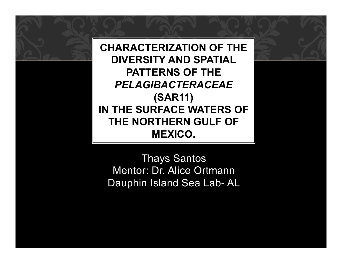**CHARACTERIZATION OF THE DIVERSITY AND SPATIAL PATTERNS OF THE**  *PELAGIBACTERACEAE*  **(SAR11) IN THE SURFACE WATERS OF THE NORTHERN GULF OF MEXICO.** 

Thays Santos Mentor: Dr. Alice Ortmann Dauphin Island Sea Lab- AL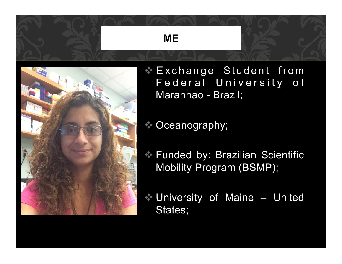



Exchange Student from Federal University of Maranhao - Brazil;

 $\bullet$  Oceanography;

- v Funded by: Brazilian Scientific Mobility Program (BSMP);
- $\cdot$  University of Maine United States;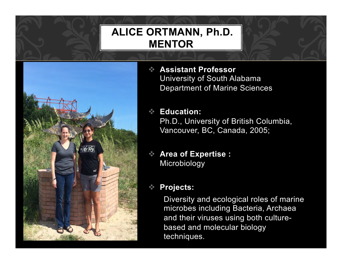# **ALICE ORTMANN, Ph.D. MENTOR**



v **Assistant Professor**  University of South Alabama Department of Marine Sciences

#### v **Education:**

Ph.D., University of British Columbia, Vancouver, BC, Canada, 2005;

v **Area of Expertise :** Microbiology

#### **Projects:**

Diversity and ecological roles of marine microbes including Bacteria, Archaea and their viruses using both culturebased and molecular biology techniques.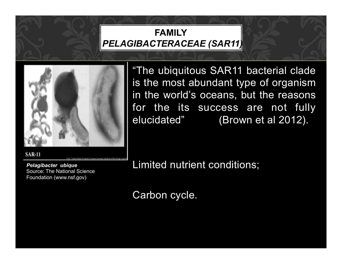### **FAMILY**   *PELAGIBACTERACEAE (SAR11)*



"The ubiquitous SAR11 bacterial clade is the most abundant type of organism in the world's oceans, but the reasons for the its success are not fully elucidated" (Brown et al 2012).

Limited nutrient conditions;

Carbon cycle.

**SAR-11** 

*Pelagibacter ubique*  Source: The National Science Foundation (www.nsf.gov)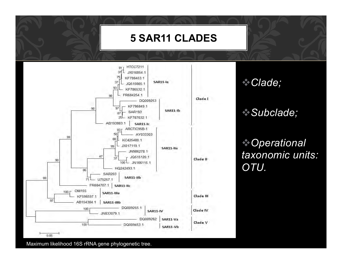### **5 SAR11 CLADES**



v*Clade;* 

### v*Subclade;*

v*Operational taxonomic units: OTU.* 

Maximum likelihood 16S rRNA gene phylogenetic tree.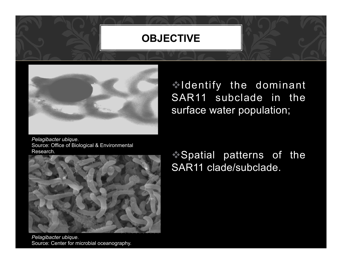### **OBJECTIVE**



vIdentify the dominant SAR11 subclade in the surface water population;

*Pelagibacter ubique*. Source: Office of Biological & Environmental Research.



*Pelagibacter ubique*. Source: Center for microbial oceanography.

Spatial patterns of the SAR11 clade/subclade.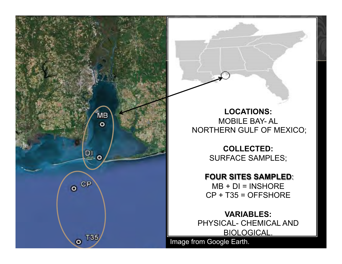

**LOCATIONS:**  MOBILE BAY- AL NORTHERN GULF OF MEXICO;

> **COLLECTED:**  SURFACE SAMPLES;

**FOUR SITES SAMPLED**:  $MB + DI = INSHORE$ CP + T35 = OFFSHORE

**VARIABLES:**  PHYSICAL- CHEMICAL AND BIOLOGICAL.

Image from Google Earth.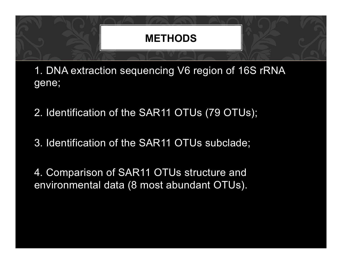

1. DNA extraction sequencing V6 region of 16S rRNA gene;

- 2. Identification of the SAR11 OTUs (79 OTUs);
- 3. Identification of the SAR11 OTUs subclade;

4. Comparison of SAR11 OTUs structure and environmental data (8 most abundant OTUs).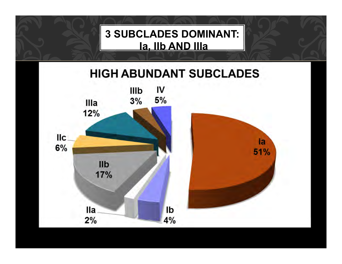**3 SUBCLADES DOMINANT: Ia, IIb AND IIIa**

# **HIGH ABUNDANT SUBCLADES**

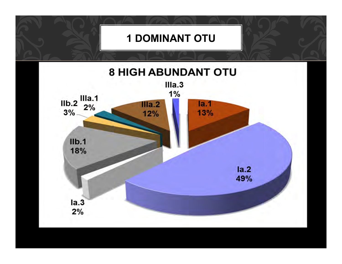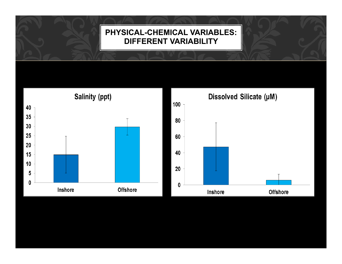#### **PHYSICAL-CHEMICAL VARIABLES: DIFFERENT VARIABILITY**

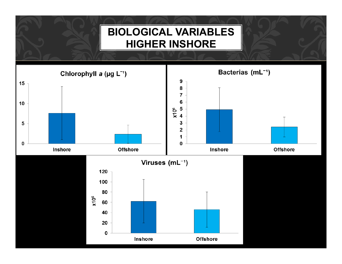## **BIOLOGICAL VARIABLES HIGHER INSHORE**

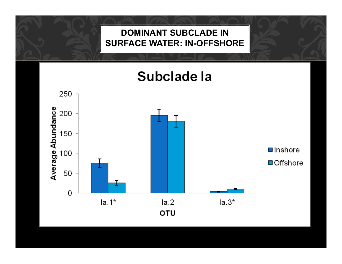#### **DOMINANT SUBCLADE IN SURFACE WATER: IN-OFFSHORE**



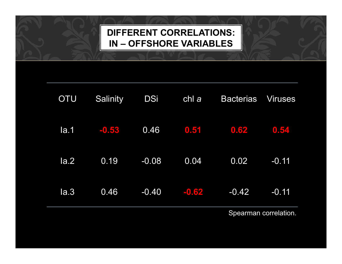## **DIFFERENT CORRELATIONS: IN – OFFSHORE VARIABLES**

| <b>OTU</b> | <b>Salinity</b> | <b>DSi</b> | chl a   | <b>Bacterias</b> | <b>Viruses</b> |
|------------|-----------------|------------|---------|------------------|----------------|
| $l$ la.1   | $-0.53$         | 0.46       | 0,51    | 0.62             | 0.54           |
| $l$ a.2    | 0.19            | $-0.08$    | 0.04    | 0.02             | $-0.11$        |
| l <b>a</b> | 0.46            | $-0.40$    | $-0.62$ | $-0.42$          | $-0.11$        |

Spearman correlation.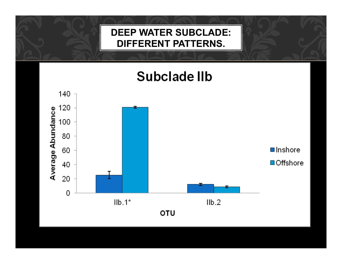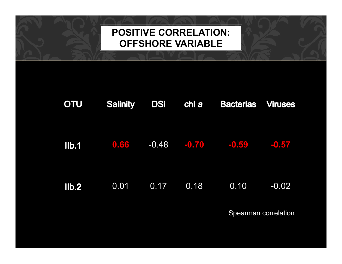## **POSITIVE CORRELATION: OFFSHORE VARIABLE**

| <b>OTU</b>     | <b>Salinity</b> | <b>DSi</b> | chl <i>a</i> | <b>Bacterias Viruses</b>        |                      |
|----------------|-----------------|------------|--------------|---------------------------------|----------------------|
|                | $11b.1$ 0.66    |            |              | $-0.48$ $-0.70$ $-0.59$ $-0.57$ |                      |
| I <sub>1</sub> | 0.01            |            | $0.17$ 0.18  | 0.10                            | $-0.02$              |
|                |                 |            |              |                                 | Choarman corrolation |

Spearman correlation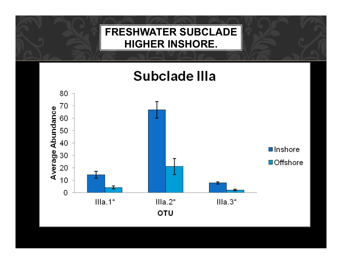## **FRESHWATER SUBCLADE HIGHER INSHORE.**

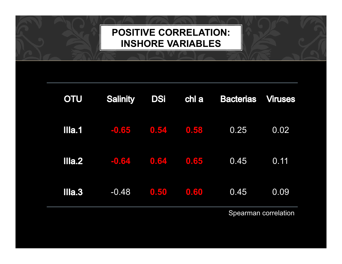## **POSITIVE CORRELATION: INSHORE VARIABLES**

| <b>OTU</b> | <b>Salinity</b>                     | <b>DSi</b> | $ $ chl $ a $ | <b>Bacterias Viruses</b> |      |
|------------|-------------------------------------|------------|---------------|--------------------------|------|
|            | <b>IIIa.1</b> $-0.65$ $0.54$ $0.58$ |            |               | 0.25                     | 0.02 |
|            | $IIIa.2$ $-0.64$ $0.64$ $0.65$      |            |               | $\overline{0.45}$        | 0.11 |
| IIIa.3     | $-0.48$                             |            | 0.50 0.60     | 0.45                     | 0.09 |

Spearman correlation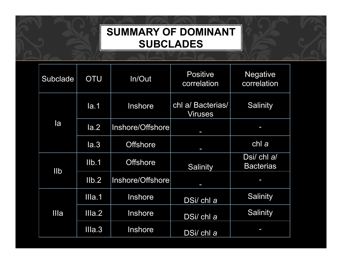## **SUMMARY OF DOMINANT SUBCLADES**

| Subclade   | <b>OTU</b>  | In/Out           | <b>Positive</b><br>correlation      | <b>Negative</b><br>correlation  |
|------------|-------------|------------------|-------------------------------------|---------------------------------|
| la         | Ia.1        | Inshore          | chl a/ Bacterias/<br><b>Viruses</b> | Salinity                        |
|            | $l$ a.2     | Inshore/Offshore |                                     |                                 |
|            | Ia.3        | <b>Offshore</b>  | J                                   | chl a                           |
| <b>IIb</b> | $I$ l $b.1$ | <b>Offshore</b>  | <b>Salinity</b>                     | Dsi/ chl a/<br><b>Bacterias</b> |
|            | Ilb.2       | Inshore/Offshore | I                                   |                                 |
| Illa       | IIIa.1      | Inshore          | DSi/ chl a                          | Salinity                        |
|            | IIa.2       | Inshore          | DSi/ chl a                          | Salinity                        |
|            | IIa.3       | Inshore          | DSi/ chl a                          |                                 |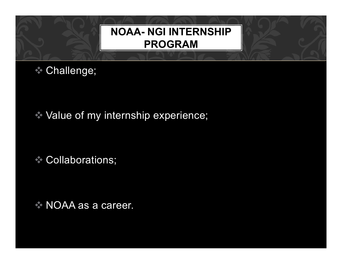# **NOAA- NGI INTERNSHIP PROGRAM**

**Challenge;** 

 $\rightarrow$  Value of my internship experience;

Collaborations;

 $\rightarrow$  NOAA as a career.